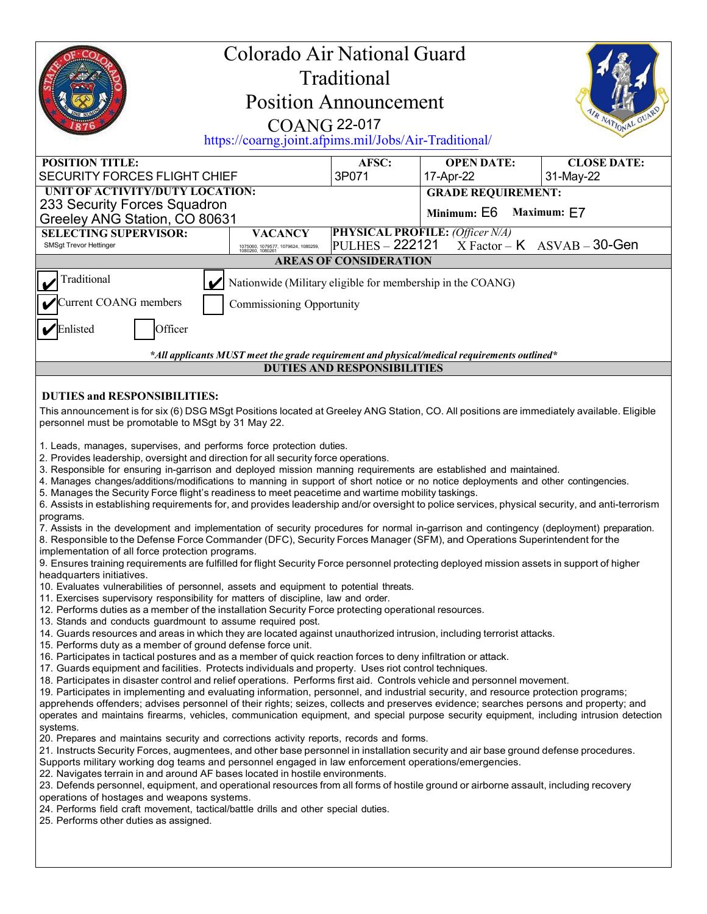| Colorado Air National Guard<br>Traditional<br><b>Position Announcement</b><br>IR NATIONAL<br><b>COANG 22-017</b><br>https://coarng.joint.afpims.mil/Jobs/Air-Traditional/                                                                                                                                                                                                                                                                                                                                                                                                                                                                                                                                                                                                                                                                                                                                                                                                                                                                                                                                                                                                                                                                                                                                                                                                                                                                                                                                                                                                                                                                                                                                                                                                                                                                                                                                                                                                                                                                                                                                                                                                                                                                                                                                                                                                                                                                                                                                                                                                                                                                                                                                                                                                                                                                                                                                                                                                                                                                                                                                                                                                                                                                                                                                                                                                                                                                                                                               |                                                                           |                               |                                                                            |                                 |  |
|---------------------------------------------------------------------------------------------------------------------------------------------------------------------------------------------------------------------------------------------------------------------------------------------------------------------------------------------------------------------------------------------------------------------------------------------------------------------------------------------------------------------------------------------------------------------------------------------------------------------------------------------------------------------------------------------------------------------------------------------------------------------------------------------------------------------------------------------------------------------------------------------------------------------------------------------------------------------------------------------------------------------------------------------------------------------------------------------------------------------------------------------------------------------------------------------------------------------------------------------------------------------------------------------------------------------------------------------------------------------------------------------------------------------------------------------------------------------------------------------------------------------------------------------------------------------------------------------------------------------------------------------------------------------------------------------------------------------------------------------------------------------------------------------------------------------------------------------------------------------------------------------------------------------------------------------------------------------------------------------------------------------------------------------------------------------------------------------------------------------------------------------------------------------------------------------------------------------------------------------------------------------------------------------------------------------------------------------------------------------------------------------------------------------------------------------------------------------------------------------------------------------------------------------------------------------------------------------------------------------------------------------------------------------------------------------------------------------------------------------------------------------------------------------------------------------------------------------------------------------------------------------------------------------------------------------------------------------------------------------------------------------------------------------------------------------------------------------------------------------------------------------------------------------------------------------------------------------------------------------------------------------------------------------------------------------------------------------------------------------------------------------------------------------------------------------------------------------------------------------------------|---------------------------------------------------------------------------|-------------------------------|----------------------------------------------------------------------------|---------------------------------|--|
| <b>POSITION TITLE:</b><br><b>SECURITY FORCES FLIGHT CHIEF</b>                                                                                                                                                                                                                                                                                                                                                                                                                                                                                                                                                                                                                                                                                                                                                                                                                                                                                                                                                                                                                                                                                                                                                                                                                                                                                                                                                                                                                                                                                                                                                                                                                                                                                                                                                                                                                                                                                                                                                                                                                                                                                                                                                                                                                                                                                                                                                                                                                                                                                                                                                                                                                                                                                                                                                                                                                                                                                                                                                                                                                                                                                                                                                                                                                                                                                                                                                                                                                                           |                                                                           | AFSC:<br>3P071                | <b>OPEN DATE:</b><br>17-Apr-22                                             | <b>CLOSE DATE:</b><br>31-May-22 |  |
| UNIT OF ACTIVITY/DUTY LOCATION:<br>233 Security Forces Squadron<br>Greeley ANG Station, CO 80631                                                                                                                                                                                                                                                                                                                                                                                                                                                                                                                                                                                                                                                                                                                                                                                                                                                                                                                                                                                                                                                                                                                                                                                                                                                                                                                                                                                                                                                                                                                                                                                                                                                                                                                                                                                                                                                                                                                                                                                                                                                                                                                                                                                                                                                                                                                                                                                                                                                                                                                                                                                                                                                                                                                                                                                                                                                                                                                                                                                                                                                                                                                                                                                                                                                                                                                                                                                                        |                                                                           |                               | <b>GRADE REQUIREMENT:</b><br>Minimum: E6<br>Maximum: E7                    |                                 |  |
| <b>SELECTING SUPERVISOR:</b><br>SMSgt Trevor Hettinger                                                                                                                                                                                                                                                                                                                                                                                                                                                                                                                                                                                                                                                                                                                                                                                                                                                                                                                                                                                                                                                                                                                                                                                                                                                                                                                                                                                                                                                                                                                                                                                                                                                                                                                                                                                                                                                                                                                                                                                                                                                                                                                                                                                                                                                                                                                                                                                                                                                                                                                                                                                                                                                                                                                                                                                                                                                                                                                                                                                                                                                                                                                                                                                                                                                                                                                                                                                                                                                  | <b>VACANCY</b><br>1075060, 1079577, 1079624, 1080259,<br>1080260, 1080261 | <b>PULHES - 222121</b>        | <b>PHYSICAL PROFILE: (Officer N/A)</b><br>$X Factor - K$ $ASVAB - 30$ -Gen |                                 |  |
|                                                                                                                                                                                                                                                                                                                                                                                                                                                                                                                                                                                                                                                                                                                                                                                                                                                                                                                                                                                                                                                                                                                                                                                                                                                                                                                                                                                                                                                                                                                                                                                                                                                                                                                                                                                                                                                                                                                                                                                                                                                                                                                                                                                                                                                                                                                                                                                                                                                                                                                                                                                                                                                                                                                                                                                                                                                                                                                                                                                                                                                                                                                                                                                                                                                                                                                                                                                                                                                                                                         |                                                                           | <b>AREAS OF CONSIDERATION</b> |                                                                            |                                 |  |
| Traditional<br>Nationwide (Military eligible for membership in the COANG)                                                                                                                                                                                                                                                                                                                                                                                                                                                                                                                                                                                                                                                                                                                                                                                                                                                                                                                                                                                                                                                                                                                                                                                                                                                                                                                                                                                                                                                                                                                                                                                                                                                                                                                                                                                                                                                                                                                                                                                                                                                                                                                                                                                                                                                                                                                                                                                                                                                                                                                                                                                                                                                                                                                                                                                                                                                                                                                                                                                                                                                                                                                                                                                                                                                                                                                                                                                                                               |                                                                           |                               |                                                                            |                                 |  |
| Current COANG members<br>Commissioning Opportunity                                                                                                                                                                                                                                                                                                                                                                                                                                                                                                                                                                                                                                                                                                                                                                                                                                                                                                                                                                                                                                                                                                                                                                                                                                                                                                                                                                                                                                                                                                                                                                                                                                                                                                                                                                                                                                                                                                                                                                                                                                                                                                                                                                                                                                                                                                                                                                                                                                                                                                                                                                                                                                                                                                                                                                                                                                                                                                                                                                                                                                                                                                                                                                                                                                                                                                                                                                                                                                                      |                                                                           |                               |                                                                            |                                 |  |
| Enlisted<br>Officer                                                                                                                                                                                                                                                                                                                                                                                                                                                                                                                                                                                                                                                                                                                                                                                                                                                                                                                                                                                                                                                                                                                                                                                                                                                                                                                                                                                                                                                                                                                                                                                                                                                                                                                                                                                                                                                                                                                                                                                                                                                                                                                                                                                                                                                                                                                                                                                                                                                                                                                                                                                                                                                                                                                                                                                                                                                                                                                                                                                                                                                                                                                                                                                                                                                                                                                                                                                                                                                                                     |                                                                           |                               |                                                                            |                                 |  |
| *All applicants MUST meet the grade requirement and physical/medical requirements outlined*                                                                                                                                                                                                                                                                                                                                                                                                                                                                                                                                                                                                                                                                                                                                                                                                                                                                                                                                                                                                                                                                                                                                                                                                                                                                                                                                                                                                                                                                                                                                                                                                                                                                                                                                                                                                                                                                                                                                                                                                                                                                                                                                                                                                                                                                                                                                                                                                                                                                                                                                                                                                                                                                                                                                                                                                                                                                                                                                                                                                                                                                                                                                                                                                                                                                                                                                                                                                             |                                                                           |                               |                                                                            |                                 |  |
| <b>DUTIES AND RESPONSIBILITIES</b>                                                                                                                                                                                                                                                                                                                                                                                                                                                                                                                                                                                                                                                                                                                                                                                                                                                                                                                                                                                                                                                                                                                                                                                                                                                                                                                                                                                                                                                                                                                                                                                                                                                                                                                                                                                                                                                                                                                                                                                                                                                                                                                                                                                                                                                                                                                                                                                                                                                                                                                                                                                                                                                                                                                                                                                                                                                                                                                                                                                                                                                                                                                                                                                                                                                                                                                                                                                                                                                                      |                                                                           |                               |                                                                            |                                 |  |
| This announcement is for six (6) DSG MSgt Positions located at Greeley ANG Station, CO. All positions are immediately available. Eligible<br>personnel must be promotable to MSgt by 31 May 22.<br>1. Leads, manages, supervises, and performs force protection duties.<br>2. Provides leadership, oversight and direction for all security force operations.<br>3. Responsible for ensuring in-garrison and deployed mission manning requirements are established and maintained.<br>4. Manages changes/additions/modifications to manning in support of short notice or no notice deployments and other contingencies.<br>5. Manages the Security Force flight's readiness to meet peacetime and wartime mobility taskings.<br>6. Assists in establishing requirements for, and provides leadership and/or oversight to police services, physical security, and anti-terrorism<br>programs.<br>7. Assists in the development and implementation of security procedures for normal in-garrison and contingency (deployment) preparation.<br>8. Responsible to the Defense Force Commander (DFC), Security Forces Manager (SFM), and Operations Superintendent for the<br>implementation of all force protection programs.<br>9. Ensures training requirements are fulfilled for flight Security Force personnel protecting deployed mission assets in support of higher<br>headquarters initiatives.<br>10. Evaluates vulnerabilities of personnel, assets and equipment to potential threats.<br>11. Exercises supervisory responsibility for matters of discipline, law and order.<br>12. Performs duties as a member of the installation Security Force protecting operational resources.<br>13. Stands and conducts guardmount to assume required post.<br>14. Guards resources and areas in which they are located against unauthorized intrusion, including terrorist attacks.<br>15. Performs duty as a member of ground defense force unit.<br>16. Participates in tactical postures and as a member of quick reaction forces to deny infiltration or attack.<br>17. Guards equipment and facilities. Protects individuals and property. Uses riot control techniques.<br>18. Participates in disaster control and relief operations. Performs first aid. Controls vehicle and personnel movement.<br>19. Participates in implementing and evaluating information, personnel, and industrial security, and resource protection programs;<br>apprehends offenders; advises personnel of their rights; seizes, collects and preserves evidence; searches persons and property; and<br>operates and maintains firearms, vehicles, communication equipment, and special purpose security equipment, including intrusion detection<br>systems.<br>20. Prepares and maintains security and corrections activity reports, records and forms.<br>21. Instructs Security Forces, augmentees, and other base personnel in installation security and air base ground defense procedures.<br>Supports military working dog teams and personnel engaged in law enforcement operations/emergencies.<br>22. Navigates terrain in and around AF bases located in hostile environments.<br>23. Defends personnel, equipment, and operational resources from all forms of hostile ground or airborne assault, including recovery<br>operations of hostages and weapons systems.<br>24. Performs field craft movement, tactical/battle drills and other special duties.<br>25. Performs other duties as assigned. |                                                                           |                               |                                                                            |                                 |  |